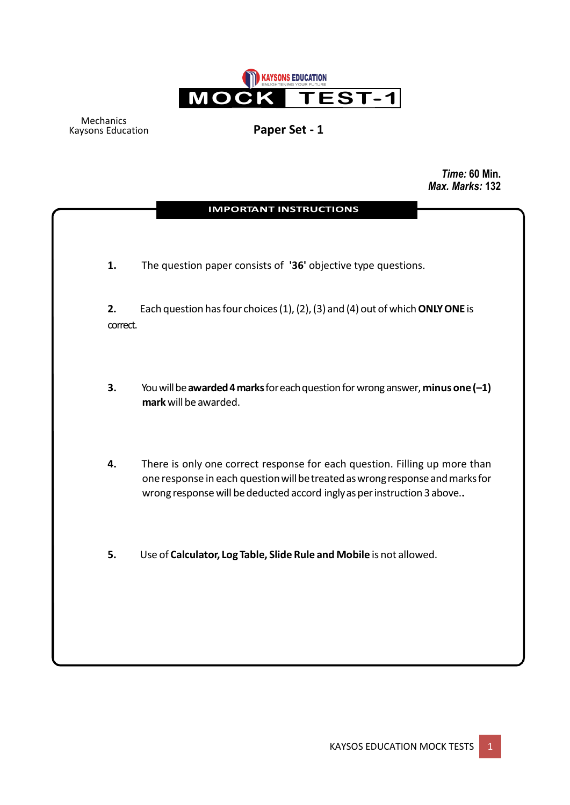

Mechanics Kaysons Education **Paper Set - 1**

*Time:* **60 Min.**  *Max. Marks:* **132**

|                | <b>IMPORTANT INSTRUCTIONS</b>                                                                                                                                                                                                          |
|----------------|----------------------------------------------------------------------------------------------------------------------------------------------------------------------------------------------------------------------------------------|
| 1.             | The question paper consists of '36' objective type questions.                                                                                                                                                                          |
| 2.<br>correct. | Each question has four choices (1), (2), (3) and (4) out of which ONLY ONE is                                                                                                                                                          |
| 3.             | You will be awarded 4 marks for each question for wrong answer, minus one $(-1)$<br>mark will be awarded.                                                                                                                              |
| 4.             | There is only one correct response for each question. Filling up more than<br>one response in each question will be treated as wrong response and marks for<br>wrong response will be deducted accord ingly as per instruction 3 above |
| 5.             | Use of Calculator, Log Table, Slide Rule and Mobile is not allowed.                                                                                                                                                                    |
|                |                                                                                                                                                                                                                                        |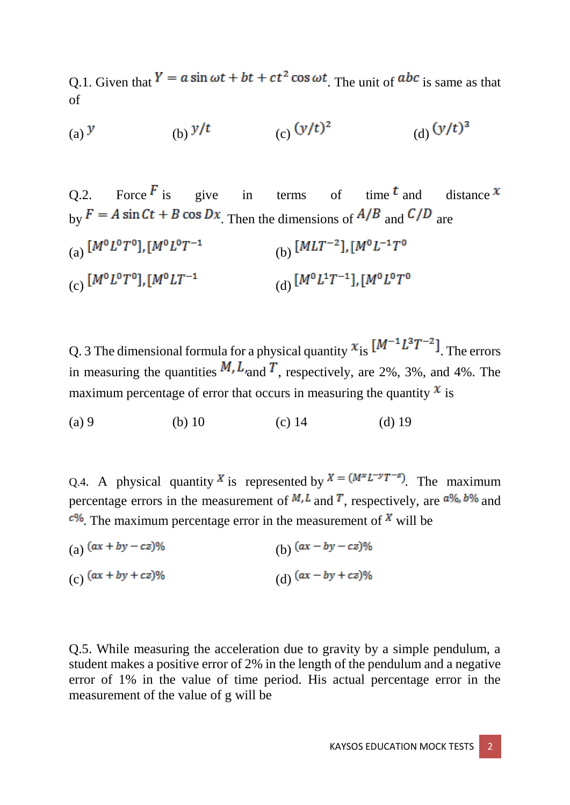Q.1. Given that  $Y = a \sin \omega t + bt + ct^2 \cos \omega t$ . The unit of  $abc$  is same as that of

(a) 
$$
y
$$
 (b)  $y/t$  (c)  $(y/t)^2$  (d)  $(y/t)^3$ 

Q.2. Force  $\overline{F}$  is give in terms of time  $\overline{F}$  and distance  $\overline{F}$ by  $F = A \sin Ct + B \cos Dx$ . Then the dimensions of  $A/B$  and  $C/D$  are (a)  $[M^0L^0T^0], [M^0L^0T^{-1}]$  (b)  $[MLT^{-2}], [M^0L^{-1}T^0]$ (c)  $[M^0L^0T^0], [M^0LT^{-1}]$  (d)  $[M^0L^1T^{-1}], [M^0L^0T^0]$ 

Q. 3 The dimensional formula for a physical quantity  $x_{is} [M^{-1}L^{3}T^{-2}]$ . The errors in measuring the quantities  $M, L$  and  $T$ , respectively, are 2%, 3%, and 4%. The maximum percentage of error that occurs in measuring the quantity  $x$  is

(a) 9 (b) 10 (c) 14 (d) 19

Q.4. A physical quantity X is represented by  $X = (M^*L^{-y}T^{-z})$ . The maximum percentage errors in the measurement of  $M<sub>l</sub>$  and T, respectively, are  $a\%$ , b% and  $c\%$ . The maximum percentage error in the measurement of X will be

(a)  $(ax + by - cz)$ % (b)  $(ax - by - cz)$ % (c)  $(ax + by + cz)$ % (d)  $(ax - by + cz)$ %

Q.5. While measuring the acceleration due to gravity by a simple pendulum, a student makes a positive error of 2% in the length of the pendulum and a negative error of 1% in the value of time period. His actual percentage error in the measurement of the value of g will be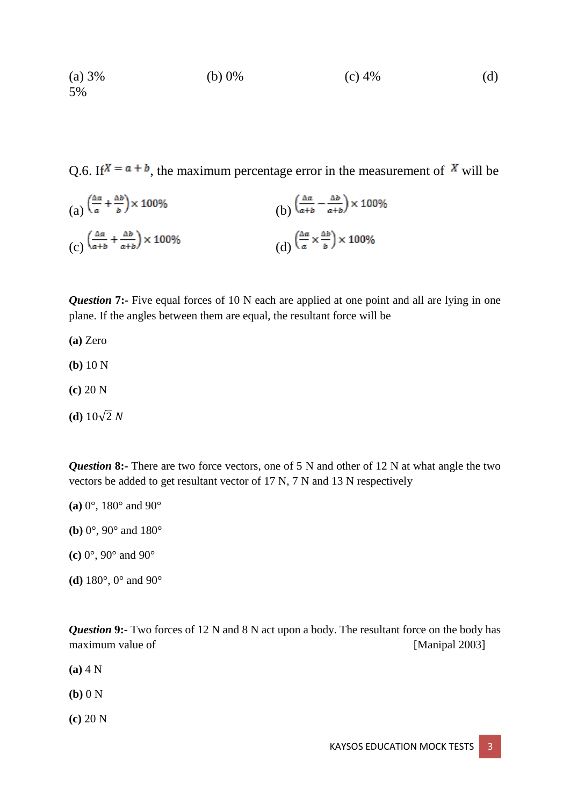(a) 3% (b) 0% (c) 4% (d) 5%

Q.6. If  $X = a + b$ , the maximum percentage error in the measurement of X will be

(a) 
$$
\left(\frac{\Delta a}{a} + \frac{\Delta b}{b}\right) \times 100\%
$$
  
\n(b)  $\left(\frac{\Delta a}{a+b} - \frac{\Delta b}{a+b}\right) \times 100\%$   
\n(c)  $\left(\frac{\Delta a}{a+b} + \frac{\Delta b}{a+b}\right) \times 100\%$   
\n(d)  $\left(\frac{\Delta a}{a} \times \frac{\Delta b}{b}\right) \times 100\%$ 

*Question* 7:- Five equal forces of 10 N each are applied at one point and all are lying in one plane. If the angles between them are equal, the resultant force will be

**(a)** Zero

- **(b)** 10 N
- **(c)** 20 N
- **(d)**  $10\sqrt{2} N$

*Question* **8:-** There are two force vectors, one of 5 N and other of 12 N at what angle the two vectors be added to get resultant vector of 17 N, 7 N and 13 N respectively

- **(a)** 0°, 180° and 90°
- **(b)** 0°, 90° and 180°
- **(c)** 0°, 90° and 90°
- **(d)** 180°, 0° and 90°

*Question* 9:- Two forces of 12 N and 8 N act upon a body. The resultant force on the body has maximum value of [Manipal 2003]

- **(a)** 4 N
- **(b)** 0 N
- **(c)** 20 N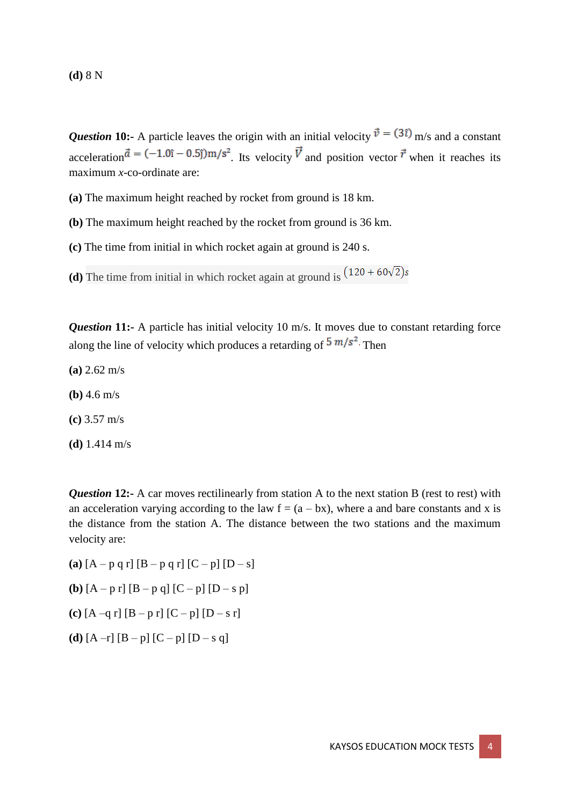*Question* 10:- A particle leaves the origin with an initial velocity  $\vec{v} = (3\hat{i})$  m/s and a constant acceleration  $\vec{a} = (-1.0\hat{i} - 0.5\hat{j})\text{m/s}^2$ . Its velocity  $\vec{V}$  and position vector  $\vec{r}$  when it reaches its maximum *x*-co-ordinate are:

**(a)** The maximum height reached by rocket from ground is 18 km.

**(b)** The maximum height reached by the rocket from ground is 36 km.

**(c)** The time from initial in which rocket again at ground is 240 s.

**(d)** The time from initial in which rocket again at ground is  $(120 + 60\sqrt{2})s$ 

*Question* 11:- A particle has initial velocity 10 m/s. It moves due to constant retarding force along the line of velocity which produces a retarding of  $5 \frac{m}{s^2}$ . Then

- **(a)** 2.62 m/s
- **(b)** 4.6 m/s

**(c)** 3.57 m/s

**(d)** 1.414 m/s

*Question* 12:- A car moves rectilinearly from station A to the next station B (rest to rest) with an acceleration varying according to the law  $f = (a - bx)$ , where a and bare constants and x is the distance from the station A. The distance between the two stations and the maximum velocity are:

- **(a)**  $[A p q r] [B p q r] [C p] [D s]$
- **(b)**  $[A p r] [B p q] [C p] [D s p]$
- **(c)**  $[A q r] [B p r] [C p] [D s r]$
- **(d)**  $[A -r] [B p] [C p] [D s q]$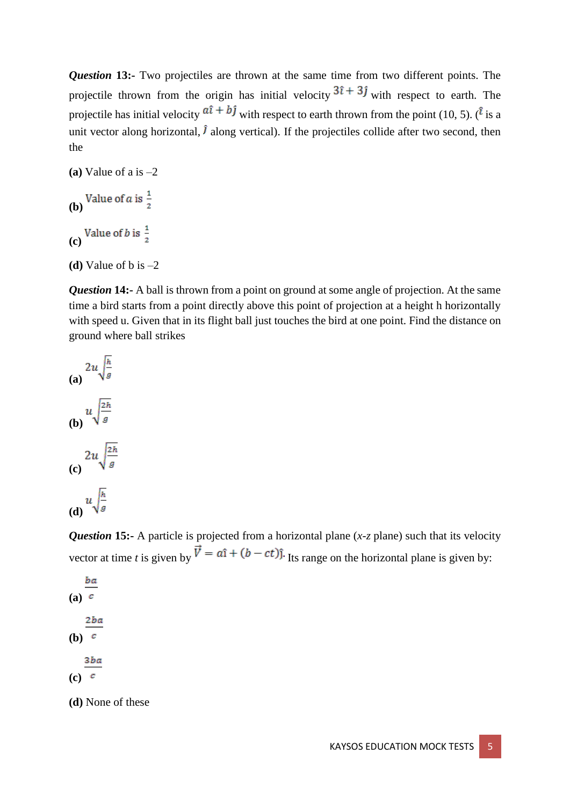*Question* 13:- Two projectiles are thrown at the same time from two different points. The projectile thrown from the origin has initial velocity  $3\hat{i} + 3\hat{j}$  with respect to earth. The projectile has initial velocity  $a\hat{i} + b\hat{j}$  with respect to earth thrown from the point (10, 5). ( $\hat{i}$  is a unit vector along horizontal,  $\hat{J}$  along vertical). If the projectiles collide after two second, then the

```
(a) Value of a is –2
```

```
(b) Value of a is \frac{1}{2}(c) Value of b is \frac{1}{2}
```

```
(d) Value of b is –2
```
*Question* **14:-** A ball is thrown from a point on ground at some angle of projection. At the same time a bird starts from a point directly above this point of projection at a height h horizontally with speed u. Given that in its flight ball just touches the bird at one point. Find the distance on ground where ball strikes

(a) 
$$
2u\sqrt{\frac{h}{g}}
$$
  
\n(b)  $u\sqrt{\frac{2h}{g}}$   
\n(c)  $2u\sqrt{\frac{2h}{g}}$   
\n(d)  $u\sqrt{\frac{h}{g}}$ 

*Question* 15:- A particle is projected from a horizontal plane (*x*-*z* plane) such that its velocity vector at time *t* is given by  $\vec{V} = a\hat{i} + (b - ct)\hat{j}$ . Its range on the horizontal plane is given by:

ba **(a)** 2ba **(b)** 3ba **(c)**

**(d)** None of these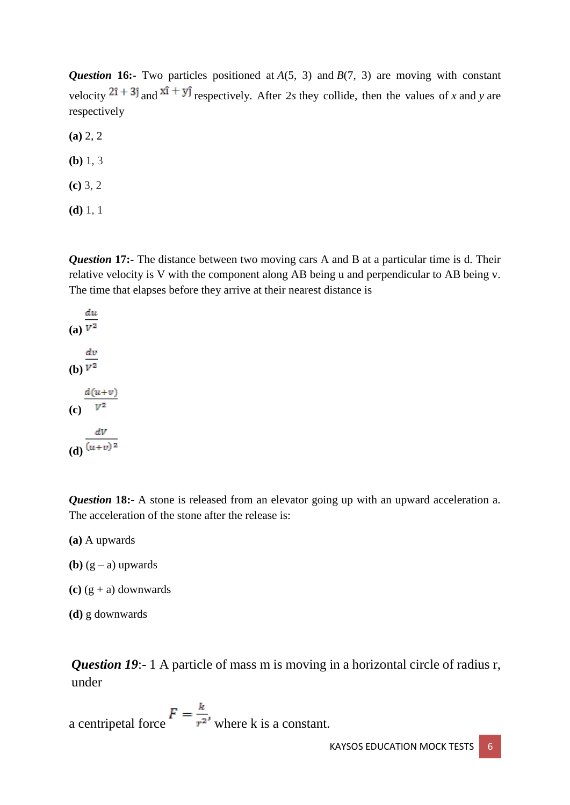*Question* 16:- Two particles positioned at *A*(5, 3) and *B*(7, 3) are moving with constant velocity  $2\hat{i} + 3\hat{j}$  and  $x\hat{i} + y\hat{j}$  respectively. After 2*s* they collide, then the values of *x* and *y* are respectively

**(a)** 2, 2

**(b)** 1, 3

**(c)** 3, 2

**(d)** 1, 1

*Question* 17:- The distance between two moving cars A and B at a particular time is d. Their relative velocity is V with the component along AB being u and perpendicular to AB being v. The time that elapses before they arrive at their nearest distance is

du  $\overline{(a)}\ \overline{V^2}$  $rac{dv}{v^2}$  $d(u+v)$  $\overline{(c)}$   $\overline{V^2}$  $\frac{dV}{(u+v)^2}$ 

*Question* 18:- A stone is released from an elevator going up with an upward acceleration a. The acceleration of the stone after the release is:

**(a)** A upwards

- **(b)**  $(g a)$  upwards
- **(c)** (g + a) downwards
- **(d)** g downwards

*Question 19*:-1 A particle of mass m is moving in a horizontal circle of radius r, under

a centripetal force  $F = \frac{k}{r^2}$ , where k is a constant.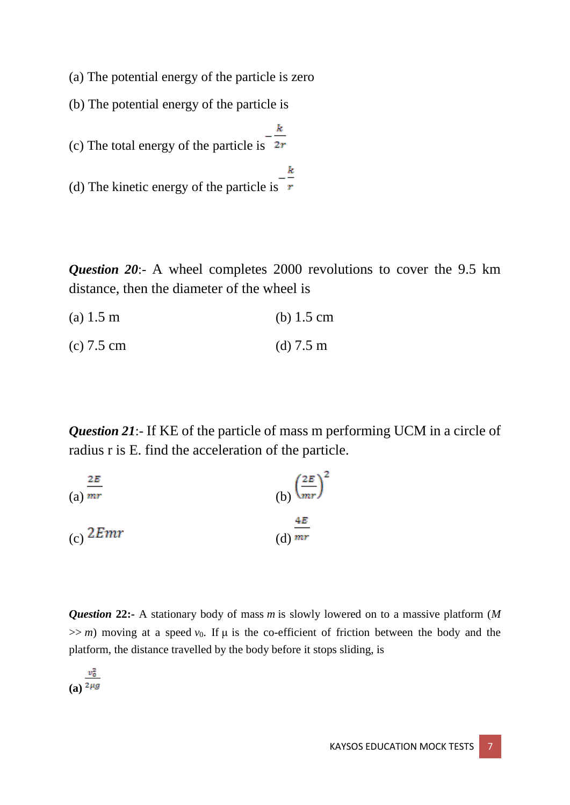(a) The potential energy of the particle is zero

(b) The potential energy of the particle is

(c) The total energy of the particle is  $\frac{-\frac{k}{2r}}{2}$ 

(d) The kinetic energy of the particle is  $\frac{-\frac{k}{r}}{r}$ 

*Question 20*:- A wheel completes 2000 revolutions to cover the 9.5 km distance, then the diameter of the wheel is

(a) 1.5 m (b) 1.5 cm

(c) 7.5 cm (d) 7.5 m

*Question 21*:- If KE of the particle of mass m performing UCM in a circle of radius r is E. find the acceleration of the particle.

(a) 
$$
\frac{2E}{mr}
$$
  
\n(b)  $\left(\frac{2E}{mr}\right)^2$   
\n(c)  $2Emr$   
\n(d)  $\frac{4E}{mr}$ 

*Question* **22:-** A stationary body of mass *m* is slowly lowered on to a massive platform (*M*  $\gg$  *m*) moving at a speed  $v_0$ . If  $\mu$  is the co-efficient of friction between the body and the platform, the distance travelled by the body before it stops sliding, is

 $\frac{v_0^2}{(a)^{2\mu g}}$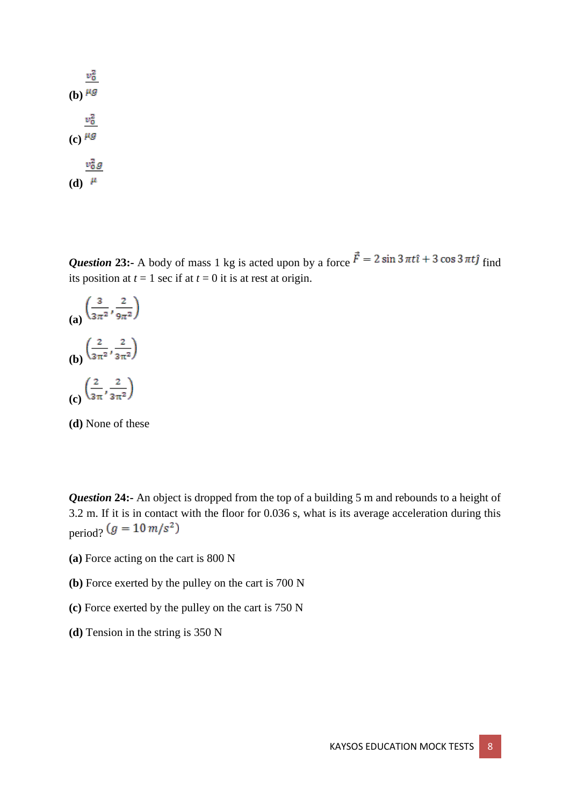$v_0^2$ (b)  $\mu$ g  $v_0^2$  $(c)$ <sup> $\mu$ g</sup>  $v_0^2g$ (d)  $\mu$ 

**Question 23:-** A body of mass 1 kg is acted upon by a force  $\vec{F} = 2 \sin 3 \pi t \hat{i} + 3 \cos 3 \pi t \hat{j}$  find its position at  $t = 1$  sec if at  $t = 0$  it is at rest at origin.



**(d)** None of these

*Question* 24:- An object is dropped from the top of a building 5 m and rebounds to a height of 3.2 m. If it is in contact with the floor for 0.036 s, what is its average acceleration during this period?  $(g = 10 \, m/s^2)$ 

- **(a)** Force acting on the cart is 800 N
- **(b)** Force exerted by the pulley on the cart is 700 N
- **(c)** Force exerted by the pulley on the cart is 750 N
- **(d)** Tension in the string is 350 N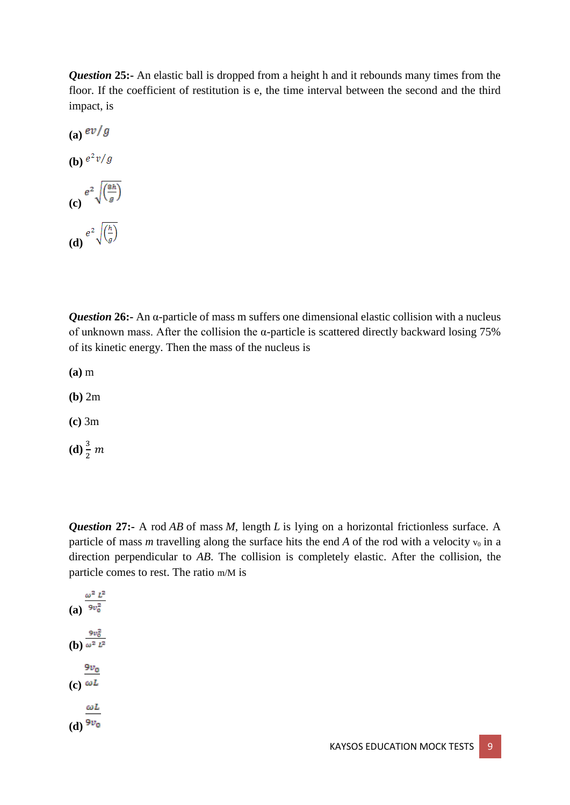**Question 25:-** An elastic ball is dropped from a height h and it rebounds many times from the floor. If the coefficient of restitution is e, the time interval between the second and the third impact, is

 $(a)$ <sup>ev/g</sup> **(b)**  $e^2v/g$ **(c)**  $e^{2}\sqrt{\frac{8h}{g}}$ **(d)**  $e^{2}\sqrt{\frac{h}{g}}$ 

*Question* **26:-** An α-particle of mass m suffers one dimensional elastic collision with a nucleus of unknown mass. After the collision the α-particle is scattered directly backward losing 75% of its kinetic energy. Then the mass of the nucleus is

**(a)** m

**(b)** 2m

**(c)** 3m

**(d)**  $\frac{3}{2}$  *m* 

*Question* **27:-** A rod *AB* of mass *M*, length *L* is lying on a horizontal frictionless surface. A particle of mass *m* travelling along the surface hits the end *A* of the rod with a velocity  $v_0$  in a direction perpendicular to *AB*. The collision is completely elastic. After the collision, the particle comes to rest. The ratio m/M is

**(a)**  $\frac{\omega^2 L^2}{9v_0^2}$ **(b)**  $\frac{9v_0^2}{\omega^2 L^2}$  $9v_0$  $(c)$   $\omega$ <sup>L</sup>  $\omega L$  $(d)$ <sup>9*v*<sub>0</sub></sup>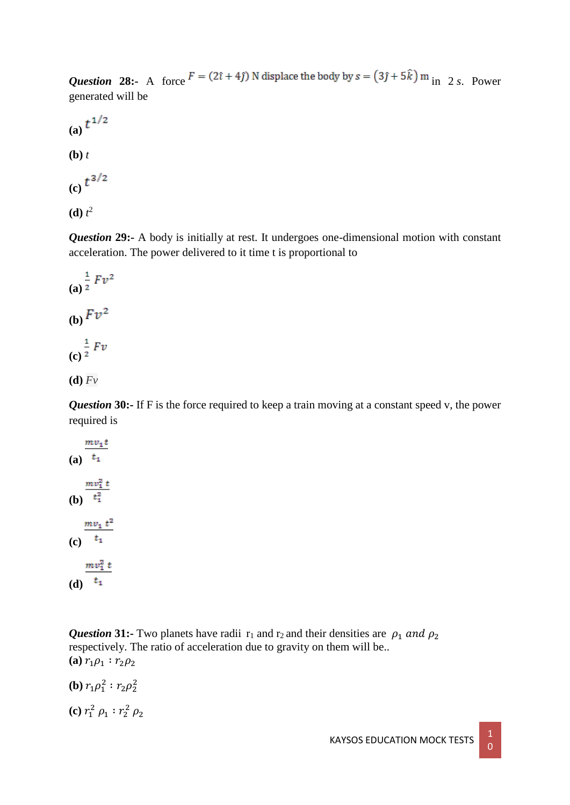*Question* 28:- A force  $F = (2\hat{i} + 4\hat{j})$  N displace the body by  $s = (3\hat{j} + 5\hat{k})$  m<sub>in</sub> 2 *s*. Power generated will be

(a) 
$$
t^{1/2}
$$
  
\n(b) t  
\n(c)  $t^{3/2}$ 

 $(d)$   $t^2$ 

**Question 29:-** A body is initially at rest. It undergoes one-dimensional motion with constant acceleration. The power delivered to it time t is proportional to

(a) 
$$
\frac{1}{2} F v^2
$$
  
\n(b) 
$$
F v^2
$$
  
\n(c) 
$$
\frac{1}{2} F v
$$
  
\n(d) 
$$
\overline{F v}
$$

*Question* 30:- If F is the force required to keep a train moving at a constant speed v, the power required is

(a) 
$$
\frac{mv_1t}{t_1}
$$
  
\n(b) 
$$
\frac{mv_1^2 t}{t_1^2}
$$
  
\n(c) 
$$
\frac{mv_1 t^2}{t_1}
$$
  
\n(d) 
$$
\frac{mv_1^2 t}{t_1}
$$

**Question 31:-** Two planets have radii  $r_1$  and  $r_2$  and their densities are  $\rho_1$  and  $\rho_2$ respectively. The ratio of acceleration due to gravity on them will be.. **(a)**  $r_1 \rho_1 : r_2 \rho_2$ 

**(b)**  $r_1 \rho_1^2$  :  $r_2 \rho_2^2$ 

(c) 
$$
r_1^2 \rho_1 : r_2^2 \rho_2
$$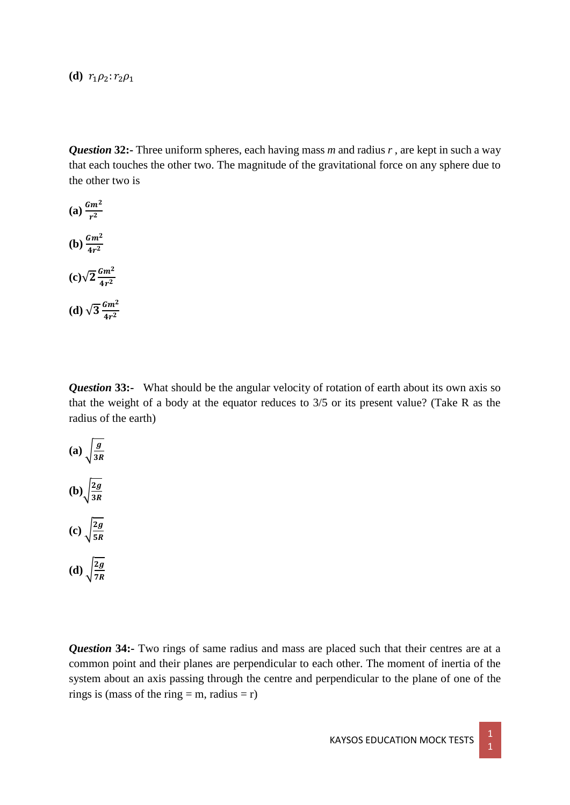**(d)**  $r_1 \rho_2$ :  $r_2 \rho_1$ 

*Question* **32:-** Three uniform spheres, each having mass *m* and radius *r* , are kept in such a way that each touches the other two. The magnitude of the gravitational force on any sphere due to the other two is

(a) 
$$
\frac{Gm^2}{r^2}
$$
  
\n(b) 
$$
\frac{Gm^2}{4r^2}
$$
  
\n(c) 
$$
\sqrt{2} \frac{Gm^2}{4r^2}
$$
  
\n(d) 
$$
\sqrt{3} \frac{Gm^2}{4r^2}
$$

*Question* 33:- What should be the angular velocity of rotation of earth about its own axis so that the weight of a body at the equator reduces to 3/5 or its present value? (Take R as the radius of the earth)



*Question* **34:-** Two rings of same radius and mass are placed such that their centres are at a common point and their planes are perpendicular to each other. The moment of inertia of the system about an axis passing through the centre and perpendicular to the plane of one of the rings is (mass of the ring = m, radius = r)